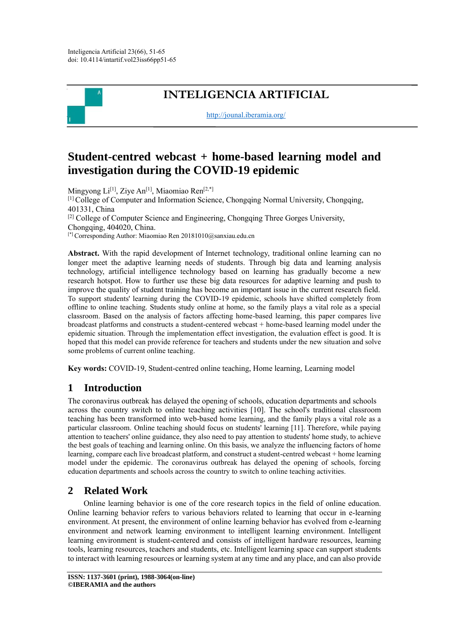

# **INTELIGENCIA ARTIFICIAL**

[http://jounal.iberamia.org/](http://journal.iberamia.org/)

# **Student-centred webcast + home-based learning model and investigation during the COVID-19 epidemic**

Mingyong Li<sup>[1]</sup>, Ziye An<sup>[1]</sup>, Miaomiao Ren<sup>[2,\*]</sup> [1] College of Computer and Information Science, Chongqing Normal University, Chongqing, 401331, China [2] College of Computer Science and Engineering, Chongqing Three Gorges University, Chongqing, 404020, China. [\*] Corresponding Author: Miaomiao Ren 20181010@sanxiau.edu.cn

**Abstract.** With the rapid development of Internet technology, traditional online learning can no longer meet the adaptive learning needs of students. Through big data and learning analysis technology, artificial intelligence technology based on learning has gradually become a new research hotspot. How to further use these big data resources for adaptive learning and push to improve the quality of student training has become an important issue in the current research field. To support students' learning during the COVID-19 epidemic, schools have shifted completely from offline to online teaching. Students study online at home, so the family plays a vital role as a special classroom. Based on the analysis of factors affecting home-based learning, this paper compares live broadcast platforms and constructs a student-centered webcast + home-based learning model under the epidemic situation. Through the implementation effect investigation, the evaluation effect is good. It is hoped that this model can provide reference for teachers and students under the new situation and solve some problems of current online teaching.

**Key words:** COVID-19, Student-centred online teaching, Home learning, Learning model

# **1 Introduction**

The coronavirus outbreak has delayed the opening of schools, education departments and schools across the country switch to online teaching activities [10]. The school's traditional classroom teaching has been transformed into web-based home learning, and the family plays a vital role as a particular classroom. Online teaching should focus on students' learning [11]. Therefore, while paying attention to teachers' online guidance, they also need to pay attention to students' home study, to achieve the best goals of teaching and learning online. On this basis, we analyze the influencing factors of home learning, compare each live broadcast platform, and construct a student-centred webcast + home learning model under the epidemic. The coronavirus outbreak has delayed the opening of schools, forcing education departments and schools across the country to switch to online teaching activities.

# **2 Related Work**

Online learning behavior is one of the core research topics in the field of online education. Online learning behavior refers to various behaviors related to learning that occur in e-learning environment. At present, the environment of online learning behavior has evolved from e-learning environment and network learning environment to intelligent learning environment. Intelligent learning environment is student-centered and consists of intelligent hardware resources, learning tools, learning resources, teachers and students, etc. Intelligent learning space can support students to interact with learning resources or learning system at any time and any place, and can also provide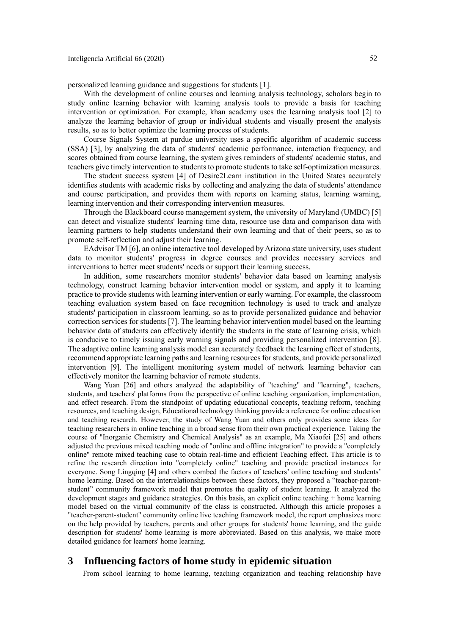personalized learning guidance and suggestions for students [1].

With the development of online courses and learning analysis technology, scholars begin to study online learning behavior with learning analysis tools to provide a basis for teaching intervention or optimization. For example, khan academy uses the learning analysis tool [2] to analyze the learning behavior of group or individual students and visually present the analysis results, so as to better optimize the learning process of students.

Course Signals System at purdue university uses a specific algorithm of academic success (SSA) [3], by analyzing the data of students' academic performance, interaction frequency, and scores obtained from course learning, the system gives reminders of students' academic status, and teachers give timely intervention to students to promote students to take self-optimization measures.

The student success system [4] of Desire2Learn institution in the United States accurately identifies students with academic risks by collecting and analyzing the data of students' attendance and course participation, and provides them with reports on learning status, learning warning, learning intervention and their corresponding intervention measures.

Through the Blackboard course management system, the university of Maryland (UMBC) [5] can detect and visualize students' learning time data, resource use data and comparison data with learning partners to help students understand their own learning and that of their peers, so as to promote self-reflection and adjust their learning.

EAdvisor TM [6], an online interactive tool developed by Arizona state university, uses student data to monitor students' progress in degree courses and provides necessary services and interventions to better meet students' needs or support their learning success.

In addition, some researchers monitor students' behavior data based on learning analysis technology, construct learning behavior intervention model or system, and apply it to learning practice to provide students with learning intervention or early warning. For example, the classroom teaching evaluation system based on face recognition technology is used to track and analyze students' participation in classroom learning, so as to provide personalized guidance and behavior correction services for students [7]. The learning behavior intervention model based on the learning behavior data of students can effectively identify the students in the state of learning crisis, which is conducive to timely issuing early warning signals and providing personalized intervention [8]. The adaptive online learning analysis model can accurately feedback the learning effect of students, recommend appropriate learning paths and learning resources for students, and provide personalized intervention [9]. The intelligent monitoring system model of network learning behavior can effectively monitor the learning behavior of remote students.

Wang Yuan [26] and others analyzed the adaptability of "teaching" and "learning", teachers, students, and teachers' platforms from the perspective of online teaching organization, implementation, and effect research. From the standpoint of updating educational concepts, teaching reform, teaching resources, and teaching design, Educational technology thinking provide a reference for online education and teaching research. However, the study of Wang Yuan and others only provides some ideas for teaching researchers in online teaching in a broad sense from their own practical experience. Taking the course of "Inorganic Chemistry and Chemical Analysis" as an example, Ma Xiaofei [25] and others adjusted the previous mixed teaching mode of "online and offline integration" to provide a "completely online" remote mixed teaching case to obtain real-time and efficient Teaching effect. This article is to refine the research direction into "completely online" teaching and provide practical instances for everyone. Song Lingqing [4] and others combed the factors of teachers' online teaching and students' home learning. Based on the interrelationships between these factors, they proposed a "teacher-parentstudent" community framework model that promotes the quality of student learning. It analyzed the development stages and guidance strategies. On this basis, an explicit online teaching + home learning model based on the virtual community of the class is constructed. Although this article proposes a "teacher-parent-student" community online live teaching framework model, the report emphasizes more on the help provided by teachers, parents and other groups for students' home learning, and the guide description for students' home learning is more abbreviated. Based on this analysis, we make more detailed guidance for learners' home learning.

# **3 Influencing factors of home study in epidemic situation**

From school learning to home learning, teaching organization and teaching relationship have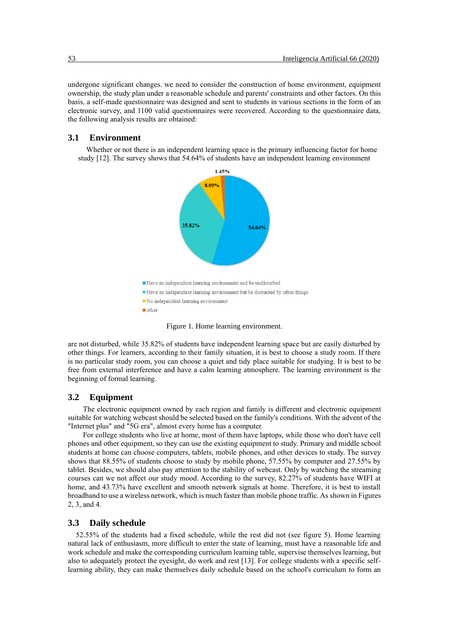undergone significant changes. we need to consider the construction of home environment, equipment ownership, the study plan under a reasonable schedule and parents' constraints and other factors. On this basis, a self-made questionnaire was designed and sent to students in various sections in the form of an electronic survey, and 1100 valid questionnaires were recovered. According to the questionnaire data, the following analysis results are obtained:

# **3.1 Environment**

Whether or not there is an independent learning space is the primary influencing factor for home study [12]. The survey shows that 54.64% of students have an independent learning environment



Figure 1. Home learning environment.

are not disturbed, while 35.82% of students have independent learning space but are easily disturbed by other things. For learners, according to their family situation, it is best to choose a study room. If there is no particular study room, you can choose a quiet and tidy place suitable for studying. It is best to be free from external interference and have a calm learning atmosphere. The learning environment is the beginning of formal learning.

### **3.2 Equipment**

The electronic equipment owned by each region and family is different and electronic equipment suitable for watching webcast should be selected based on the family's conditions. With the advent of the "Internet plus" and "5G era", almost every home has a computer.

For college students who live at home, most of them have laptops, while those who don't have cell phones and other equipment, so they can use the existing equipment to study. Primary and middle school students at home can choose computers, tablets, mobile phones, and other devices to study. The survey shows that 88.55% of students choose to study by mobile phone, 57.55% by computer and 27.55% by tablet. Besides, we should also pay attention to the stability of webcast. Only by watching the streaming courses can we not affect our study mood. According to the survey, 82.27% of students have WIFI at home, and 43.73% have excellent and smooth network signals at home. Therefore, it is best to install broadband to use a wireless network, which is much faster than mobile phone traffic. As shown in Figures 2, 3, and 4.

## **3.3 Daily schedule**

52.55% of the students had a fixed schedule, while the rest did not (see figure 5). Home learning natural lack of enthusiasm, more difficult to enter the state of learning, must have a reasonable life and work schedule and make the corresponding curriculum learning table, supervise themselves learning, but also to adequately protect the eyesight, do work and rest [13]. For college students with a specific selflearning ability, they can make themselves daily schedule based on the school's curriculum to form an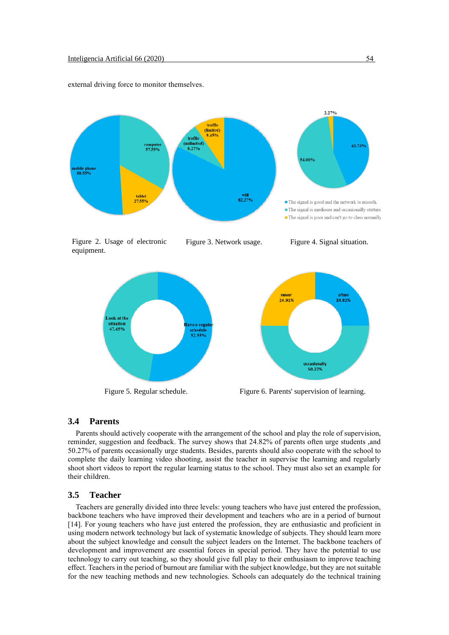external driving force to monitor themselves.



Figure 2. Usage of electronic equipment.

Figure 3. Network usage. Figure 4. Signal situation.



Figure 5. Regular schedule. Figure 6. Parents' supervision of learning.

## **3.4 Parents**

Parents should actively cooperate with the arrangement of the school and play the role of supervision, reminder, suggestion and feedback. The survey shows that 24.82% of parents often urge students ,and 50.27% of parents occasionally urge students. Besides, parents should also cooperate with the school to complete the daily learning video shooting, assist the teacher in supervise the learning and regularly shoot short videos to report the regular learning status to the school. They must also set an example for their children.

## **3.5 Teacher**

Teachers are generally divided into three levels: young teachers who have just entered the profession, backbone teachers who have improved their development and teachers who are in a period of burnout [14]. For young teachers who have just entered the profession, they are enthusiastic and proficient in using modern network technology but lack of systematic knowledge of subjects. They should learn more about the subject knowledge and consult the subject leaders on the Internet. The backbone teachers of development and improvement are essential forces in special period. They have the potential to use technology to carry out teaching, so they should give full play to their enthusiasm to improve teaching effect. Teachers in the period of burnout are familiar with the subject knowledge, but they are not suitable for the new teaching methods and new technologies. Schools can adequately do the technical training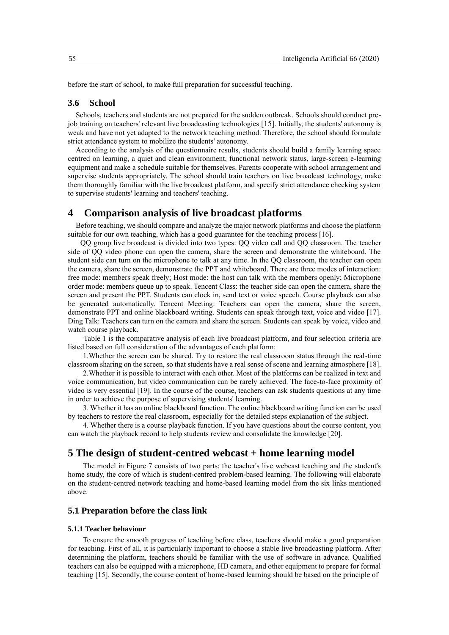before the start of school, to make full preparation for successful teaching.

## **3.6 School**

Schools, teachers and students are not prepared for the sudden outbreak. Schools should conduct prejob training on teachers' relevant live broadcasting technologies [15]. Initially, the students' autonomy is weak and have not yet adapted to the network teaching method. Therefore, the school should formulate strict attendance system to mobilize the students' autonomy.

According to the analysis of the questionnaire results, students should build a family learning space centred on learning, a quiet and clean environment, functional network status, large-screen e-learning equipment and make a schedule suitable for themselves. Parents cooperate with school arrangement and supervise students appropriately. The school should train teachers on live broadcast technology, make them thoroughly familiar with the live broadcast platform, and specify strict attendance checking system to supervise students' learning and teachers' teaching.

# **4 Comparison analysis of live broadcast platforms**

Before teaching, we should compare and analyze the major network platforms and choose the platform suitable for our own teaching, which has a good guarantee for the teaching process [16].

QQ group live broadcast is divided into two types: QQ video call and QQ classroom. The teacher side of QQ video phone can open the camera, share the screen and demonstrate the whiteboard. The student side can turn on the microphone to talk at any time. In the QQ classroom, the teacher can open the camera, share the screen, demonstrate the PPT and whiteboard. There are three modes of interaction: free mode: members speak freely; Host mode: the host can talk with the members openly; Microphone order mode: members queue up to speak. Tencent Class: the teacher side can open the camera, share the screen and present the PPT. Students can clock in, send text or voice speech. Course playback can also be generated automatically. Tencent Meeting: Teachers can open the camera, share the screen, demonstrate PPT and online blackboard writing. Students can speak through text, voice and video [17]. Ding Talk: Teachers can turn on the camera and share the screen. Students can speak by voice, video and watch course playback.

Table 1 is the comparative analysis of each live broadcast platform, and four selection criteria are listed based on full consideration of the advantages of each platform:

1.Whether the screen can be shared. Try to restore the real classroom status through the real-time classroom sharing on the screen, so that students have a real sense of scene and learning atmosphere [18].

2.Whether it is possible to interact with each other. Most of the platforms can be realized in text and voice communication, but video communication can be rarely achieved. The face-to-face proximity of video is very essential [19]. In the course of the course, teachers can ask students questions at any time in order to achieve the purpose of supervising students' learning.

3. Whether it has an online blackboard function. The online blackboard writing function can be used by teachers to restore the real classroom, especially for the detailed steps explanation of the subject.

4. Whether there is a course playback function. If you have questions about the course content, you can watch the playback record to help students review and consolidate the knowledge [20].

# **5 The design of student-centred webcast + home learning model**

The model in Figure 7 consists of two parts: the teacher's live webcast teaching and the student's home study, the core of which is student-centred problem-based learning. The following will elaborate on the student-centred network teaching and home-based learning model from the six links mentioned above.

## **5.1 Preparation before the class link**

#### **5.1.1 Teacher behaviour**

To ensure the smooth progress of teaching before class, teachers should make a good preparation for teaching. First of all, it is particularly important to choose a stable live broadcasting platform. After determining the platform, teachers should be familiar with the use of software in advance. Qualified teachers can also be equipped with a microphone, HD camera, and other equipment to prepare for formal teaching [15]. Secondly, the course content of home-based learning should be based on the principle of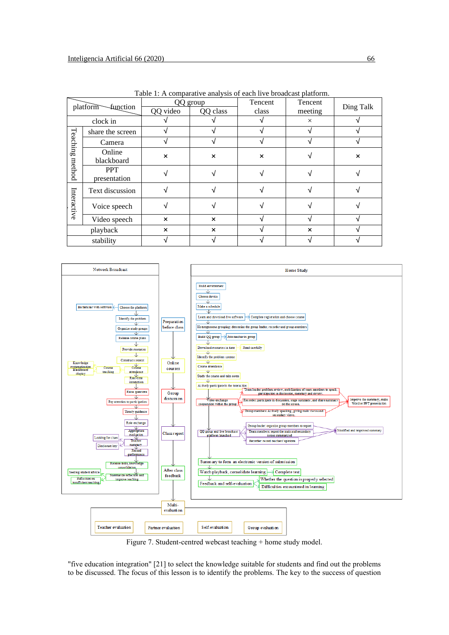| platform function  |                            | QQ group |                           | Tencent  | Tencent                   | Ding Talk                 |
|--------------------|----------------------------|----------|---------------------------|----------|---------------------------|---------------------------|
|                    |                            | QQ video | QQ class                  | class    | meeting                   |                           |
| clock in           |                            |          |                           |          | $\times$                  |                           |
| Teaching<br>method | share the screen           |          |                           |          |                           |                           |
|                    | Camera                     | V        |                           | V        |                           |                           |
|                    | Online                     | ×        | $\boldsymbol{\mathsf{x}}$ | $\times$ |                           | $\boldsymbol{\mathsf{x}}$ |
|                    | blackboard                 |          |                           |          |                           |                           |
|                    | <b>PPT</b><br>presentation |          |                           |          |                           |                           |
| Interactive        | Text discussion            |          | V                         | ٦        |                           |                           |
|                    | Voice speech               | √        |                           | N        |                           |                           |
|                    | Video speech               | ×        | $\boldsymbol{\mathsf{x}}$ |          |                           |                           |
| playback           |                            | ×        | $\boldsymbol{\mathsf{x}}$ | N        | $\boldsymbol{\mathsf{x}}$ |                           |
| stability          |                            |          |                           |          |                           |                           |

Table 1: A comparative analysis of each live broadcast platform.



Figure 7. Student-centred webcast teaching + home study model.

"five education integration" [21] to select the knowledge suitable for students and find out the problems to be discussed. The focus of this lesson is to identify the problems. The key to the success of question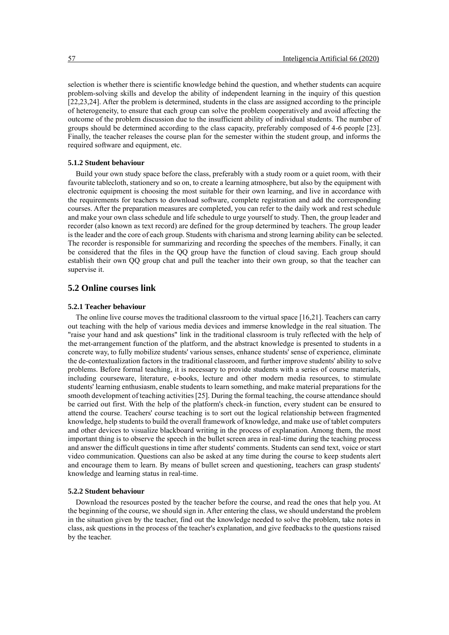selection is whether there is scientific knowledge behind the question, and whether students can acquire problem-solving skills and develop the ability of independent learning in the inquiry of this question [22,23,24]. After the problem is determined, students in the class are assigned according to the principle of heterogeneity, to ensure that each group can solve the problem cooperatively and avoid affecting the outcome of the problem discussion due to the insufficient ability of individual students. The number of groups should be determined according to the class capacity, preferably composed of 4-6 people [23]. Finally, the teacher releases the course plan for the semester within the student group, and informs the required software and equipment, etc.

## **5.1.2 Student behaviour**

Build your own study space before the class, preferably with a study room or a quiet room, with their favourite tablecloth, stationery and so on, to create a learning atmosphere, but also by the equipment with electronic equipment is choosing the most suitable for their own learning, and live in accordance with the requirements for teachers to download software, complete registration and add the corresponding courses. After the preparation measures are completed, you can refer to the daily work and rest schedule and make your own class schedule and life schedule to urge yourself to study. Then, the group leader and recorder (also known as text record) are defined for the group determined by teachers. The group leader is the leader and the core of each group. Students with charisma and strong learning ability can be selected. The recorder is responsible for summarizing and recording the speeches of the members. Finally, it can be considered that the files in the QQ group have the function of cloud saving. Each group should establish their own QQ group chat and pull the teacher into their own group, so that the teacher can supervise it.

# **5.2 Online courses link**

#### **5.2.1 Teacher behaviour**

The online live course moves the traditional classroom to the virtual space [16,21]. Teachers can carry out teaching with the help of various media devices and immerse knowledge in the real situation. The "raise your hand and ask questions" link in the traditional classroom is truly reflected with the help of the met-arrangement function of the platform, and the abstract knowledge is presented to students in a concrete way, to fully mobilize students' various senses, enhance students' sense of experience, eliminate the de-contextualization factors in the traditional classroom, and further improve students' ability to solve problems. Before formal teaching, it is necessary to provide students with a series of course materials, including courseware, literature, e-books, lecture and other modern media resources, to stimulate students' learning enthusiasm, enable students to learn something, and make material preparations for the smooth development of teaching activities [25]. During the formal teaching, the course attendance should be carried out first. With the help of the platform's check-in function, every student can be ensured to attend the course. Teachers' course teaching is to sort out the logical relationship between fragmented knowledge, help students to build the overall framework of knowledge, and make use of tablet computers and other devices to visualize blackboard writing in the process of explanation. Among them, the most important thing is to observe the speech in the bullet screen area in real-time during the teaching process and answer the difficult questions in time after students' comments. Students can send text, voice or start video communication. Questions can also be asked at any time during the course to keep students alert and encourage them to learn. By means of bullet screen and questioning, teachers can grasp students' knowledge and learning status in real-time.

## **5.2.2 Student behaviour**

Download the resources posted by the teacher before the course, and read the ones that help you. At the beginning of the course, we should sign in. After entering the class, we should understand the problem in the situation given by the teacher, find out the knowledge needed to solve the problem, take notes in class, ask questions in the process of the teacher's explanation, and give feedbacks to the questions raised by the teacher.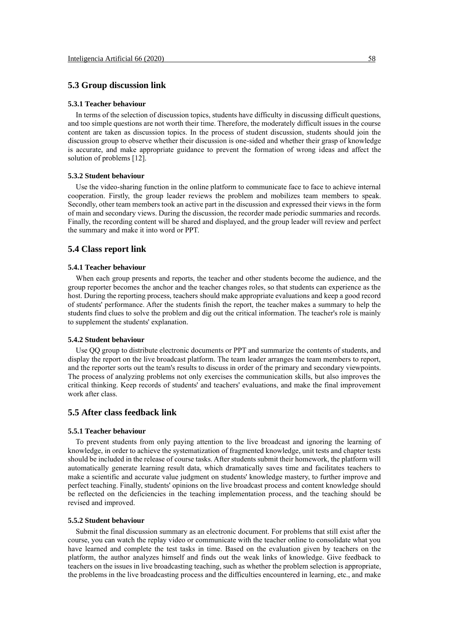## **5.3 Group discussion link**

## **5.3.1 Teacher behaviour**

In terms of the selection of discussion topics, students have difficulty in discussing difficult questions, and too simple questions are not worth their time. Therefore, the moderately difficult issues in the course content are taken as discussion topics. In the process of student discussion, students should join the discussion group to observe whether their discussion is one-sided and whether their grasp of knowledge is accurate, and make appropriate guidance to prevent the formation of wrong ideas and affect the solution of problems [12].

#### **5.3.2 Student behaviour**

Use the video-sharing function in the online platform to communicate face to face to achieve internal cooperation. Firstly, the group leader reviews the problem and mobilizes team members to speak. Secondly, other team members took an active part in the discussion and expressed their views in the form of main and secondary views. During the discussion, the recorder made periodic summaries and records. Finally, the recording content will be shared and displayed, and the group leader will review and perfect the summary and make it into word or PPT.

## **5.4 Class report link**

#### **5.4.1 Teacher behaviour**

When each group presents and reports, the teacher and other students become the audience, and the group reporter becomes the anchor and the teacher changes roles, so that students can experience as the host. During the reporting process, teachers should make appropriate evaluations and keep a good record of students' performance. After the students finish the report, the teacher makes a summary to help the students find clues to solve the problem and dig out the critical information. The teacher's role is mainly to supplement the students' explanation.

#### **5.4.2 Student behaviour**

Use QQ group to distribute electronic documents or PPT and summarize the contents of students, and display the report on the live broadcast platform. The team leader arranges the team members to report, and the reporter sorts out the team's results to discuss in order of the primary and secondary viewpoints. The process of analyzing problems not only exercises the communication skills, but also improves the critical thinking. Keep records of students' and teachers' evaluations, and make the final improvement work after class.

# **5.5 After class feedback link**

#### **5.5.1 Teacher behaviour**

To prevent students from only paying attention to the live broadcast and ignoring the learning of knowledge, in order to achieve the systematization of fragmented knowledge, unit tests and chapter tests should be included in the release of course tasks. After students submit their homework, the platform will automatically generate learning result data, which dramatically saves time and facilitates teachers to make a scientific and accurate value judgment on students' knowledge mastery, to further improve and perfect teaching. Finally, students' opinions on the live broadcast process and content knowledge should be reflected on the deficiencies in the teaching implementation process, and the teaching should be revised and improved.

#### **5.5.2 Student behaviour**

Submit the final discussion summary as an electronic document. For problems that still exist after the course, you can watch the replay video or communicate with the teacher online to consolidate what you have learned and complete the test tasks in time. Based on the evaluation given by teachers on the platform, the author analyzes himself and finds out the weak links of knowledge. Give feedback to teachers on the issues in live broadcasting teaching, such as whether the problem selection is appropriate, the problems in the live broadcasting process and the difficulties encountered in learning, etc., and make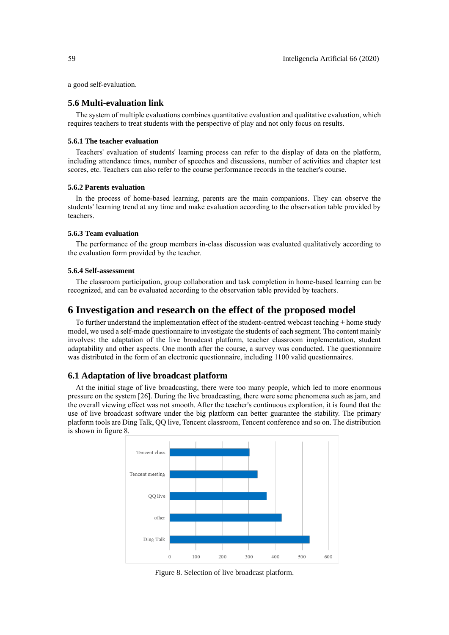a good self-evaluation.

## **5.6 Multi-evaluation link**

The system of multiple evaluations combines quantitative evaluation and qualitative evaluation, which requires teachers to treat students with the perspective of play and not only focus on results.

#### **5.6.1 The teacher evaluation**

Teachers' evaluation of students' learning process can refer to the display of data on the platform, including attendance times, number of speeches and discussions, number of activities and chapter test scores, etc. Teachers can also refer to the course performance records in the teacher's course.

#### **5.6.2 Parents evaluation**

In the process of home-based learning, parents are the main companions. They can observe the students' learning trend at any time and make evaluation according to the observation table provided by teachers.

#### **5.6.3 Team evaluation**

The performance of the group members in-class discussion was evaluated qualitatively according to the evaluation form provided by the teacher.

#### **5.6.4 Self-assessment**

The classroom participation, group collaboration and task completion in home-based learning can be recognized, and can be evaluated according to the observation table provided by teachers.

# **6 Investigation and research on the effect of the proposed model**

To further understand the implementation effect of the student-centred webcast teaching + home study model, we used a self-made questionnaire to investigate the students of each segment. The content mainly involves: the adaptation of the live broadcast platform, teacher classroom implementation, student adaptability and other aspects. One month after the course, a survey was conducted. The questionnaire was distributed in the form of an electronic questionnaire, including 1100 valid questionnaires.

## **6.1 Adaptation of live broadcast platform**

At the initial stage of live broadcasting, there were too many people, which led to more enormous pressure on the system [26]. During the live broadcasting, there were some phenomena such as jam, and the overall viewing effect was not smooth. After the teacher's continuous exploration, it is found that the use of live broadcast software under the big platform can better guarantee the stability. The primary platform tools are Ding Talk, QQ live, Tencent classroom, Tencent conference and so on. The distribution is shown in figure 8.



Figure 8. Selection of live broadcast platform.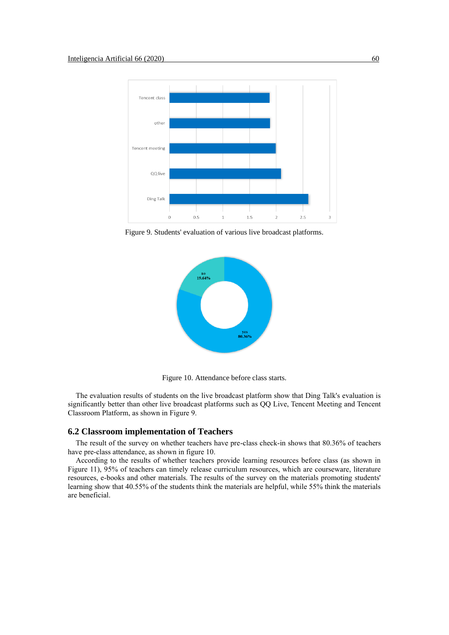

Figure 9. Students' evaluation of various live broadcast platforms.



Figure 10. Attendance before class starts.

The evaluation results of students on the live broadcast platform show that Ding Talk's evaluation is significantly better than other live broadcast platforms such as QQ Live, Tencent Meeting and Tencent Classroom Platform, as shown in Figure 9.

#### **6.2 Classroom implementation of Teachers**

The result of the survey on whether teachers have pre-class check-in shows that 80.36% of teachers have pre-class attendance, as shown in figure 10.

According to the results of whether teachers provide learning resources before class (as shown in Figure 11), 95% of teachers can timely release curriculum resources, which are courseware, literature resources, e-books and other materials. The results of the survey on the materials promoting students' learning show that 40.55% of the students think the materials are helpful, while 55% think the materials are beneficial.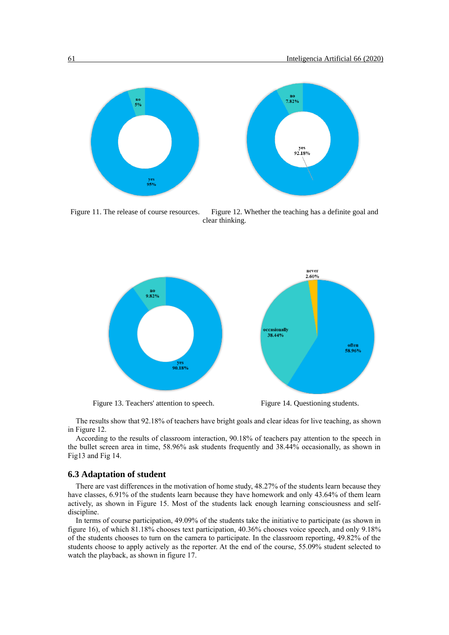

Figure 11. The release of course resources. Figure 12. Whether the teaching has a definite goal and clear thinking.



Figure 13. Teachers' attention to speech. Figure 14. Questioning students.



The results show that 92.18% of teachers have bright goals and clear ideas for live teaching, as shown in Figure 12.

According to the results of classroom interaction, 90.18% of teachers pay attention to the speech in the bullet screen area in time, 58.96% ask students frequently and 38.44% occasionally, as shown in Fig13 and Fig 14.

## **6.3 Adaptation of student**

There are vast differences in the motivation of home study, 48.27% of the students learn because they have classes, 6.91% of the students learn because they have homework and only 43.64% of them learn actively, as shown in Figure 15. Most of the students lack enough learning consciousness and selfdiscipline.

In terms of course participation, 49.09% of the students take the initiative to participate (as shown in figure 16), of which 81.18% chooses text participation, 40.36% chooses voice speech, and only 9.18% of the students chooses to turn on the camera to participate. In the classroom reporting, 49.82% of the students choose to apply actively as the reporter. At the end of the course, 55.09% student selected to watch the playback, as shown in figure 17.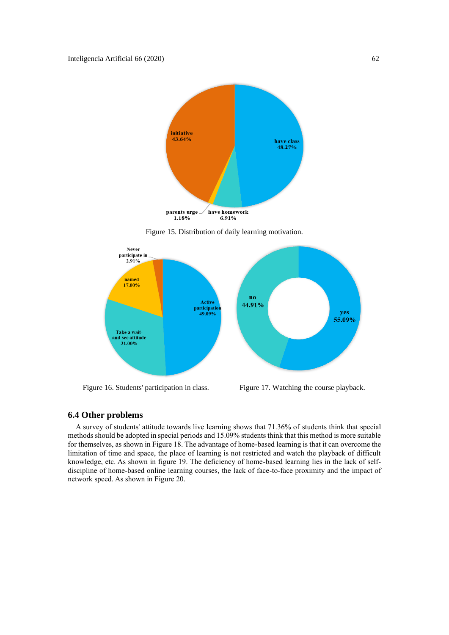

Figure 15. Distribution of daily learning motivation.



Figure 16. Students' participation in class. Figure 17. Watching the course playback.

# **6.4 Other problems**

A survey of students' attitude towards live learning shows that 71.36% of students think that special methods should be adopted in special periods and 15.09% students think that this method is more suitable for themselves, as shown in Figure 18. The advantage of home-based learning is that it can overcome the limitation of time and space, the place of learning is not restricted and watch the playback of difficult knowledge, etc. As shown in figure 19. The deficiency of home-based learning lies in the lack of selfdiscipline of home-based online learning courses, the lack of face-to-face proximity and the impact of network speed. As shown in Figure 20.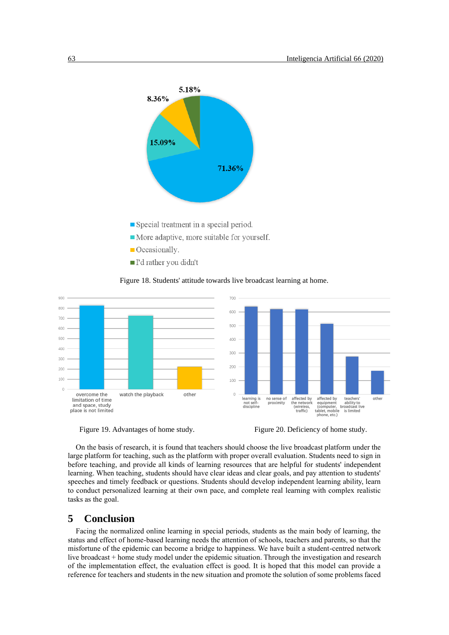

### Figure 18. Students' attitude towards live broadcast learning at home.





On the basis of research, it is found that teachers should choose the live broadcast platform under the large platform for teaching, such as the platform with proper overall evaluation. Students need to sign in before teaching, and provide all kinds of learning resources that are helpful for students' independent learning. When teaching, students should have clear ideas and clear goals, and pay attention to students' speeches and timely feedback or questions. Students should develop independent learning ability, learn to conduct personalized learning at their own pace, and complete real learning with complex realistic tasks as the goal.

# **5 Conclusion**

Facing the normalized online learning in special periods, students as the main body of learning, the status and effect of home-based learning needs the attention of schools, teachers and parents, so that the misfortune of the epidemic can become a bridge to happiness. We have built a student-centred network live broadcast + home study model under the epidemic situation. Through the investigation and research of the implementation effect, the evaluation effect is good. It is hoped that this model can provide a reference for teachers and students in the new situation and promote the solution of some problems faced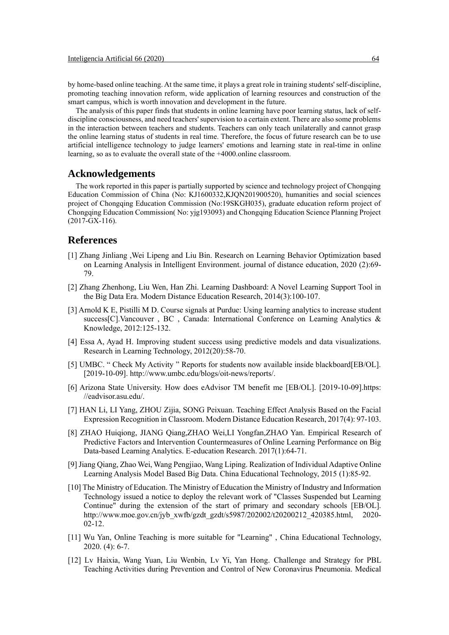by home-based online teaching. At the same time, it plays a great role in training students' self-discipline, promoting teaching innovation reform, wide application of learning resources and construction of the smart campus, which is worth innovation and development in the future.

The analysis of this paper finds that students in online learning have poor learning status, lack of selfdiscipline consciousness, and need teachers' supervision to a certain extent. There are also some problems in the interaction between teachers and students. Teachers can only teach unilaterally and cannot grasp the online learning status of students in real time. Therefore, the focus of future research can be to use artificial intelligence technology to judge learners' emotions and learning state in real-time in online learning, so as to evaluate the overall state of the +4000.online classroom.

# **Acknowledgements**

The work reported in this paper is partially supported by science and technology project of Chongqing Education Commission of China (No: KJ1600332,KJQN201900520), humanities and social sciences project of Chongqing Education Commission (No:19SKGH035), graduate education reform project of Chongqing Education Commission( No: yjg193093) and Chongqing Education Science Planning Project (2017-GX-116).

# **References**

- [1] Zhang Jinliang ,Wei Lipeng and Liu Bin. Research on Learning Behavior Optimization based on Learning Analysis in Intelligent Environment. journal of distance education, 2020 (2):69- 79.
- [2] Zhang Zhenhong, Liu Wen, Han Zhi. Learning Dashboard: A Novel Learning Support Tool in the Big Data Era. Modern Distance Education Research, 2014(3):100-107.
- [3] Arnold K E, Pistilli M D. Course signals at Purdue: Using learning analytics to increase student success[C].Vancouver , BC , Canada: International Conference on Learning Analytics & Knowledge, 2012:125-132.
- [4] Essa A, Ayad H. Improving student success using predictive models and data visualizations. Research in Learning Technology, 2012(20):58-70.
- [5] UMBC. " Check My Activity " Reports for students now available inside blackboard[EB/OL]. [2019-10-09]. http://www.umbc.edu/blogs/oit-news/reports/.
- [6] Arizona State University. How does eAdvisor TM benefit me [EB/OL]. [2019-10-09].https: //eadvisor.asu.edu/.
- [7] HAN Li, LI Yang, ZHOU Zijia, SONG Peixuan. Teaching Effect Analysis Based on the Facial Expression Recognition in Classroom. Modern Distance Education Research, 2017(4): 97-103.
- [8] ZHAO Huiqiong, JIANG Qiang,ZHAO Wei,LI Yongfan,ZHAO Yan. Empirical Research of Predictive Factors and Intervention Countermeasures of Online Learning Performance on Big Data-based Learning Analytics. E-education Research. 2017(1):64-71.
- [9] Jiang Qiang, Zhao Wei, Wang Pengjiao, Wang Liping. Realization of Individual Adaptive Online Learning Analysis Model Based Big Data. China Educational Technology, 2015 (1):85-92.
- [10] The Ministry of Education. The Ministry of Education the Ministry of Industry and Information Technology issued a notice to deploy the relevant work of "Classes Suspended but Learning Continue" during the extension of the start of primary and secondary schools [EB/OL]. http://www.moe.gov.cn/jyb\_xwfb/gzdt\_gzdt/s5987/202002/t20200212\_420385.html, 2020- 02-12.
- [11] Wu Yan, Online Teaching is more suitable for "Learning" , China Educational Technology, 2020. (4): 6-7.
- [12] Lv Haixia, Wang Yuan, Liu Wenbin, Lv Yi, Yan Hong. Challenge and Strategy for PBL Teaching Activities during Prevention and Control of New Coronavirus Pneumonia. Medical